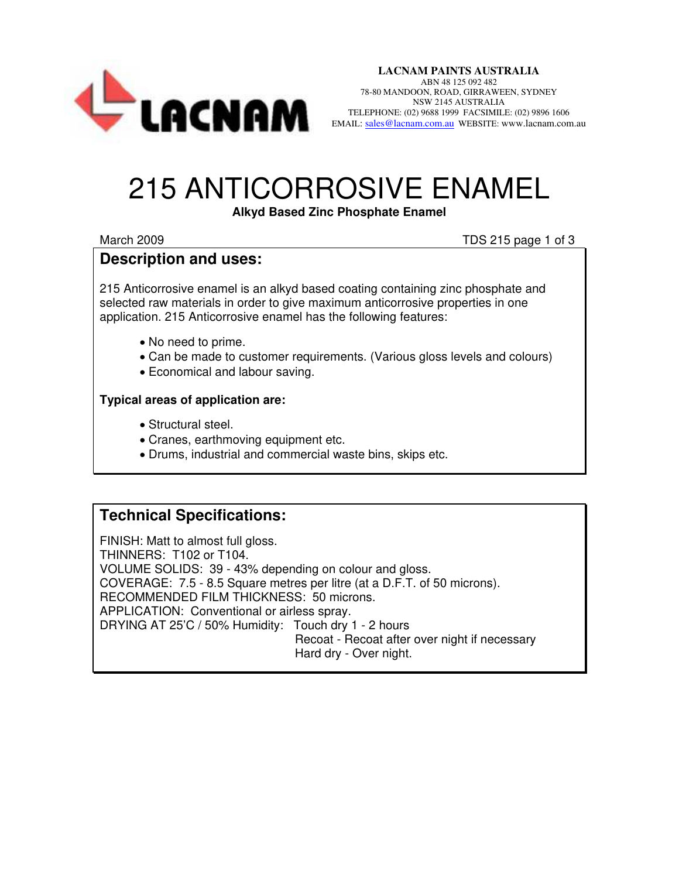

**LACNAM PAINTS AUSTRALIA**  ABN 48 125 092 482 78-80 MANDOON, ROAD, GIRRAWEEN, SYDNEY NSW 2145 AUSTRALIA TELEPHONE: (02) 9688 1999 FACSIMILE: (02) 9896 1606 EMAIL: [sales@lacnam.com.au](mailto:sales@lacnam.com.au) WEBSITE: www.lacnam.com.au

## 215 ANTICORROSIVE ENAMEL

#### **Alkyd Based Zinc Phosphate Enamel**

March 2009 **March 2009** TDS 215 page 1 of 3

### **Description and uses:**

215 Anticorrosive enamel is an alkyd based coating containing zinc phosphate and selected raw materials in order to give maximum anticorrosive properties in one application. 215 Anticorrosive enamel has the following features:

- No need to prime.
- Can be made to customer requirements. (Various gloss levels and colours)
- Economical and labour saving.

#### **Typical areas of application are:**

- Structural steel.
- Cranes, earthmoving equipment etc.
- Drums, industrial and commercial waste bins, skips etc.

## **Technical Specifications:**

FINISH: Matt to almost full gloss. THINNERS: T102 or T104. VOLUME SOLIDS: 39 - 43% depending on colour and gloss. COVERAGE: 7.5 - 8.5 Square metres per litre (at a D.F.T. of 50 microns). RECOMMENDED FILM THICKNESS: 50 microns. APPLICATION: Conventional or airless spray. DRYING AT 25'C / 50% Humidity: Touch dry 1 - 2 hours Recoat - Recoat after over night if necessary Hard dry - Over night.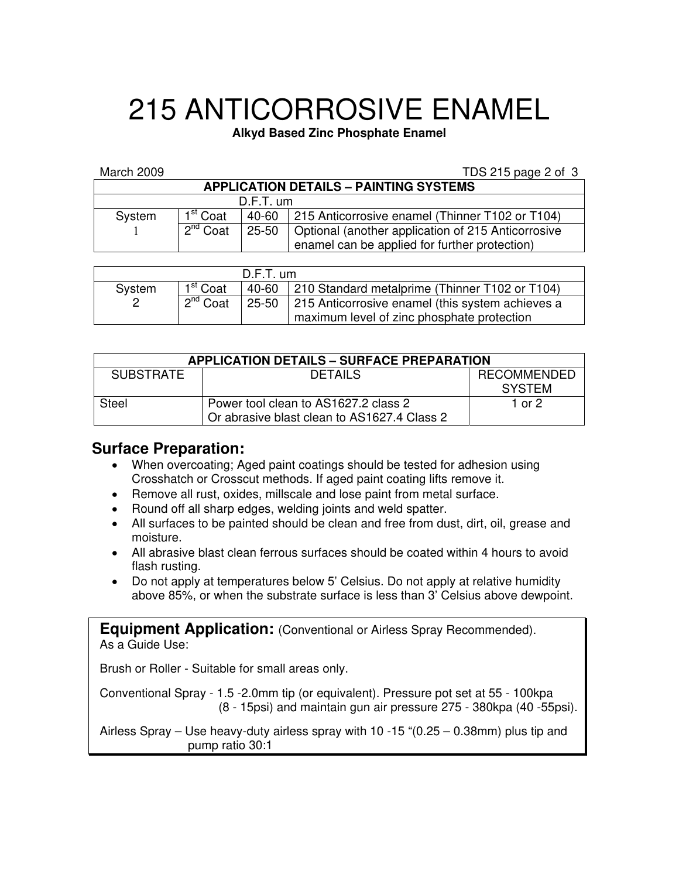# 215 ANTICORROSIVE ENAMEL

**Alkyd Based Zinc Phosphate Enamel** 

#### March 2009 **TDS 215 page 2 of 3**

| <b>APPLICATION DETAILS - PAINTING SYSTEMS</b> |                      |           |                                                             |  |  |  |  |
|-----------------------------------------------|----------------------|-----------|-------------------------------------------------------------|--|--|--|--|
| $D.F.T.$ um                                   |                      |           |                                                             |  |  |  |  |
| System                                        | 1 <sup>st</sup> Coat |           | 40-60 215 Anticorrosive enamel (Thinner T102 or T104)       |  |  |  |  |
|                                               | $2^{nd}$ Coat        | $25 - 50$ | <b>I</b> Optional (another application of 215 Anticorrosive |  |  |  |  |
|                                               |                      |           | enamel can be applied for further protection)               |  |  |  |  |

| $D.F.T.$ um |                      |  |                                                                                                      |  |  |
|-------------|----------------------|--|------------------------------------------------------------------------------------------------------|--|--|
| System      | 1 <sup>st</sup> Coat |  | 40-60   210 Standard metalprime (Thinner T102 or T104)                                               |  |  |
|             | $2^{nd}$ Coat        |  | 25-50 215 Anticorrosive enamel (this system achieves a<br>maximum level of zinc phosphate protection |  |  |

| <b>APPLICATION DETAILS - SURFACE PREPARATION</b> |                                             |             |  |  |  |  |
|--------------------------------------------------|---------------------------------------------|-------------|--|--|--|--|
| <b>SUBSTRATE</b>                                 | <b>DETAILS</b>                              | RECOMMENDED |  |  |  |  |
|                                                  |                                             | SYSTEM      |  |  |  |  |
| <b>Steel</b>                                     | Power tool clean to AS1627.2 class 2        | 1 or 2      |  |  |  |  |
|                                                  | Or abrasive blast clean to AS1627.4 Class 2 |             |  |  |  |  |

## **Surface Preparation:**

- When overcoating; Aged paint coatings should be tested for adhesion using Crosshatch or Crosscut methods. If aged paint coating lifts remove it.
- Remove all rust, oxides, millscale and lose paint from metal surface.
- Round off all sharp edges, welding joints and weld spatter.
- All surfaces to be painted should be clean and free from dust, dirt, oil, grease and moisture.
- All abrasive blast clean ferrous surfaces should be coated within 4 hours to avoid flash rusting.
- Do not apply at temperatures below 5' Celsius. Do not apply at relative humidity above 85%, or when the substrate surface is less than 3' Celsius above dewpoint.

**Equipment Application:** (Conventional or Airless Spray Recommended). As a Guide Use:

Brush or Roller - Suitable for small areas only.

Conventional Spray - 1.5 -2.0mm tip (or equivalent). Pressure pot set at 55 - 100kpa (8 - 15psi) and maintain gun air pressure 275 - 380kpa (40 -55psi).

Airless Spray – Use heavy-duty airless spray with 10 -15 "(0.25 – 0.38mm) plus tip and pump ratio 30:1